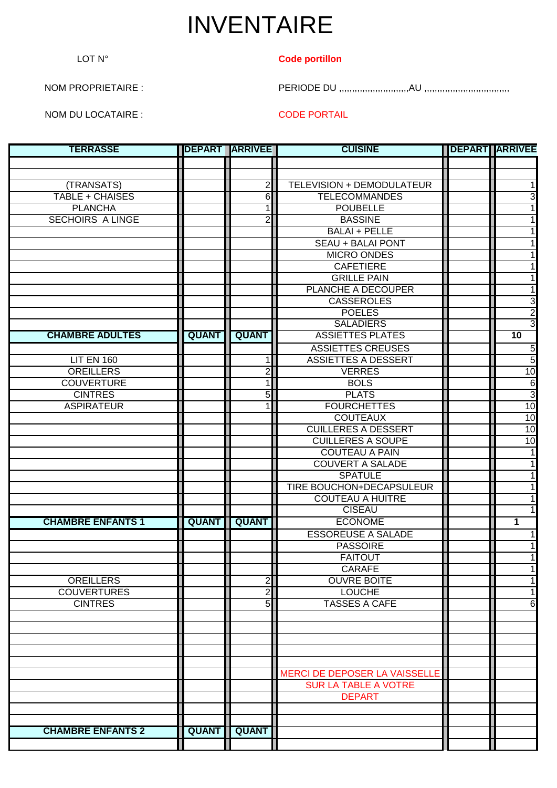## INVENTAIRE

## LOT N° **Code portillon**

NOM PROPRIETAIRE : PERIODE DU ,,,,,,,,,,,,,,,,,,,,,,,,,,,AU ,,,,,,,,,,,,,,,,,,,,,,,,,,,,,,,,,

NOM DU LOCATAIRE : CODE PORTAIL

| <b>TERRASSE</b>          |              | <b>DEPART ARRIVEE</b> | <b>CUISINE</b>                       | <b>DEPART ARRIVEE</b> |
|--------------------------|--------------|-----------------------|--------------------------------------|-----------------------|
|                          |              |                       |                                      |                       |
|                          |              |                       |                                      |                       |
| (TRANSATS)               |              | $\mathbf{2}$          | <b>TELEVISION + DEMODULATEUR</b>     |                       |
| <b>TABLE + CHAISES</b>   |              | $6 \mid$              | <b>TELECOMMANDES</b>                 | 3                     |
| <b>PLANCHA</b>           |              | 1                     | <b>POUBELLE</b>                      |                       |
| <b>SECHOIRS A LINGE</b>  |              | 2                     | <b>BASSINE</b>                       |                       |
|                          |              |                       | <b>BALAI + PELLE</b>                 |                       |
|                          |              |                       | <b>SEAU + BALAI PONT</b>             |                       |
|                          |              |                       | <b>MICRO ONDES</b>                   |                       |
|                          |              |                       | <b>CAFETIERE</b>                     |                       |
|                          |              |                       | <b>GRILLE PAIN</b>                   |                       |
|                          |              |                       | <b>PLANCHE A DECOUPER</b>            |                       |
|                          |              |                       | <b>CASSEROLES</b>                    | 3                     |
|                          |              |                       | <b>POELES</b>                        | $\overline{2}$        |
|                          |              |                       | <b>SALADIERS</b>                     | 3                     |
| <b>CHAMBRE ADULTES</b>   | <b>QUANT</b> | <b>QUANT</b>          | <b>ASSIETTES PLATES</b>              | 10                    |
|                          |              |                       | <b>ASSIETTES CREUSES</b>             | 5                     |
| <b>LIT EN 160</b>        |              | 1                     | <b>ASSIETTES A DESSERT</b>           | 5                     |
| <b>OREILLERS</b>         |              | $\overline{c}$        | <b>VERRES</b>                        | 10                    |
| <b>COUVERTURE</b>        |              | 1                     | <b>BOLS</b>                          | $\overline{6}$        |
| <b>CINTRES</b>           |              | 5                     | <b>PLATS</b>                         | $\overline{3}$        |
| <b>ASPIRATEUR</b>        |              | 1                     | <b>FOURCHETTES</b>                   | 10                    |
|                          |              |                       | <b>COUTEAUX</b>                      | 10                    |
|                          |              |                       | <b>CUILLERES A DESSERT</b>           | 10                    |
|                          |              |                       | <b>CUILLERES A SOUPE</b>             | 10                    |
|                          |              |                       | <b>COUTEAU A PAIN</b>                |                       |
|                          |              |                       | <b>COUVERT A SALADE</b>              |                       |
|                          |              |                       | <b>SPATULE</b>                       |                       |
|                          |              |                       | TIRE BOUCHON+DECAPSULEUR             |                       |
|                          |              |                       | <b>COUTEAU A HUITRE</b>              |                       |
|                          |              |                       | <b>CISEAU</b>                        |                       |
| <b>CHAMBRE ENFANTS 1</b> | <b>QUANT</b> | <b>QUANT</b>          | <b>ECONOME</b>                       | 1                     |
|                          |              |                       | <b>ESSOREUSE A SALADE</b>            |                       |
|                          |              |                       | <b>PASSOIRE</b>                      |                       |
|                          |              |                       | <b>FAITOUT</b>                       |                       |
|                          |              |                       | CARAFE                               |                       |
| <b>OREILLERS</b>         |              | $\mathbf{2}$          | <b>OUVRE BOITE</b>                   |                       |
| <b>COUVERTURES</b>       |              | $\overline{2}$        | <b>LOUCHE</b>                        |                       |
| <b>CINTRES</b>           |              | 5                     | <b>TASSES A CAFE</b>                 | 6                     |
|                          |              |                       |                                      |                       |
|                          |              |                       |                                      |                       |
|                          |              |                       |                                      |                       |
|                          |              |                       |                                      |                       |
|                          |              |                       |                                      |                       |
|                          |              |                       | <b>MERCI DE DEPOSER LA VAISSELLE</b> |                       |
|                          |              |                       | <b>SUR LA TABLE A VOTRE</b>          |                       |
|                          |              |                       | <b>DEPART</b>                        |                       |
|                          |              |                       |                                      |                       |
|                          |              |                       |                                      |                       |
| <b>CHAMBRE ENFANTS 2</b> | <b>QUANT</b> | <b>QUANT</b>          |                                      |                       |
|                          |              |                       |                                      |                       |